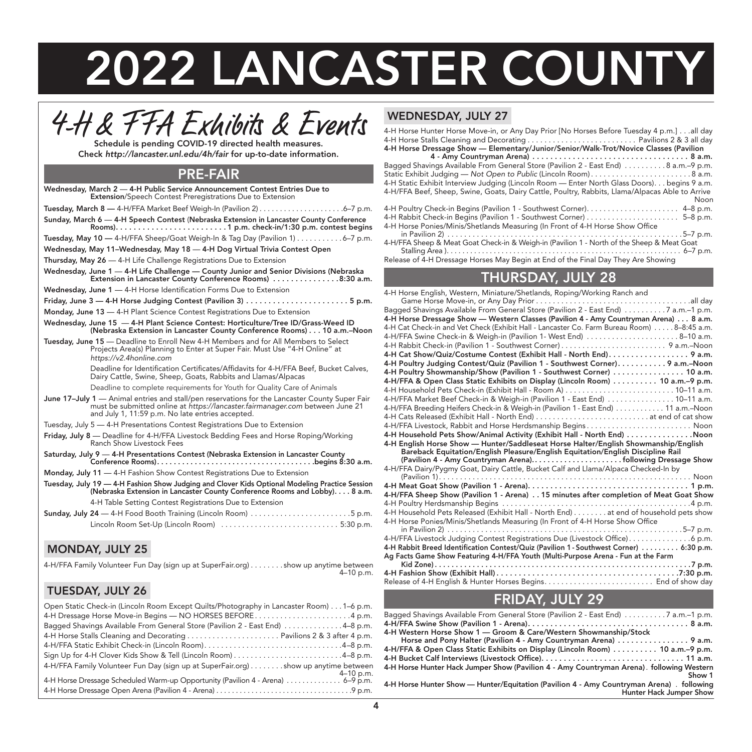# 2022 LANCASTER COUNTY

# 4-H & F FA Exhibits & Events

Schedule is pending COVID-19 directed health measures. Check *http://lancaster.unl.edu/4h/fair* for up-to-date information.

#### PRE-FAIR

| Wednesday, March 2 - 4-H Public Service Announcement Contest Entries Due to<br>Extension/Speech Contest Preregistrations Due to Extension                                                                                           |
|-------------------------------------------------------------------------------------------------------------------------------------------------------------------------------------------------------------------------------------|
|                                                                                                                                                                                                                                     |
| Sunday, March 6 - 4-H Speech Contest (Nebraska Extension in Lancaster County Conference                                                                                                                                             |
| Tuesday, May 10 - 4-H/FFA Sheep/Goat Weigh-In & Tag Day (Pavilion 1) 6-7 p.m.                                                                                                                                                       |
| Wednesday, May 11-Wednesday, May 18 - 4-H Dog Virtual Trivia Contest Open                                                                                                                                                           |
| Thursday, May 26 - 4-H Life Challenge Registrations Due to Extension                                                                                                                                                                |
| Wednesday, June 1 - 4-H Life Challenge - County Junior and Senior Divisions (Nebraska<br>Extension in Lancaster County Conference Rooms) 8:30 a.m.                                                                                  |
| Wednesday, June 1 - 4-H Horse Identification Forms Due to Extension                                                                                                                                                                 |
|                                                                                                                                                                                                                                     |
| Monday, June 13 - 4-H Plant Science Contest Registrations Due to Extension                                                                                                                                                          |
| Wednesday, June 15 - 4-H Plant Science Contest: Horticulture/Tree ID/Grass-Weed ID<br>(Nebraska Extension in Lancaster County Conference Rooms) 10 a.m.-Noon                                                                        |
| Tuesday, June 15 - Deadline to Enroll New 4-H Members and for All Members to Select<br>Projects Area(s) Planning to Enter at Super Fair. Must Use "4-H Online" at<br>https://v2.4honline.com                                        |
| Deadline for Identification Certificates/Affidavits for 4-H/FFA Beef, Bucket Calves,<br>Dairy Cattle, Swine, Sheep, Goats, Rabbits and Llamas/Alpacas                                                                               |
| Deadline to complete requirements for Youth for Quality Care of Animals                                                                                                                                                             |
| June 17-July 1 - Animal entries and stall/pen reservations for the Lancaster County Super Fair<br>must be submitted online at https://lancaster.fairmanager.com between June 21<br>and July 1, 11:59 p.m. No late entries accepted. |
| Tuesday, July 5 - 4-H Presentations Contest Registrations Due to Extension                                                                                                                                                          |
| Friday, July 8 - Deadline for 4-H/FFA Livestock Bedding Fees and Horse Roping/Working<br><b>Ranch Show Livestock Fees</b>                                                                                                           |
| Saturday, July 9 - 4-H Presentations Contest (Nebraska Extension in Lancaster County                                                                                                                                                |
| Monday, July 11 - 4-H Fashion Show Contest Registrations Due to Extension                                                                                                                                                           |
| Tuesday, July 19 - 4-H Fashion Show Judging and Clover Kids Optional Modeling Practice Session<br>(Nebraska Extension in Lancaster County Conference Rooms and Lobby). 8 a.m.                                                       |
| 4-H Table Setting Contest Registrations Due to Extension                                                                                                                                                                            |
| Sunday, July 24 - 4-H Food Booth Training (Lincoln Room) 5 p.m.                                                                                                                                                                     |
|                                                                                                                                                                                                                                     |
| <b>MONDAY, JULY 25</b>                                                                                                                                                                                                              |
| 4-H/FFA Family Volunteer Fun Day (sign up at SuperFair.org) show up anytime between                                                                                                                                                 |
| 4-10 p.m.                                                                                                                                                                                                                           |

#### TUESDAY, JULY 26:

| Open Static Check-in (Lincoln Room Except Quilts/Photography in Lancaster Room) 1–6 p.m.           |
|----------------------------------------------------------------------------------------------------|
| 4-H Dressage Horse Move-in Begins - NO HORSES BEFORE4 p.m.                                         |
| Bagged Shavings Available From General Store (Pavilion 2 - East End) 4-8 p.m.                      |
|                                                                                                    |
|                                                                                                    |
|                                                                                                    |
| 4-H/FFA Family Volunteer Fun Day (sign up at SuperFair.org) show up anytime between<br>$4-10$ p.m. |
| 4-H Horse Dressage Scheduled Warm-up Opportunity (Pavilion 4 - Arena)  6-9 p.m.                    |

#### WEDNESDAY, JULY 27

| 4-H Horse Hunter Horse Move-in, or Any Day Prior [No Horses Before Tuesday 4 p.m.]all day                                                                                                                                                                                                     |
|-----------------------------------------------------------------------------------------------------------------------------------------------------------------------------------------------------------------------------------------------------------------------------------------------|
| 4-H Horse Dressage Show — Elementary/Junior/Senior/Walk-Trot/Novice Classes (Pavilion                                                                                                                                                                                                         |
| Bagged Shavings Available From General Store (Pavilion 2 - East End) 8 a.m.–9 p.m.<br>4-H Static Exhibit Interview Judging (Lincoln Room — Enter North Glass Doors). begins 9 a.m.<br>4-H/FFA Beef, Sheep, Swine, Goats, Dairy Cattle, Poultry, Rabbits, Llama/Alpacas Able to Arrive<br>Noon |
| 4-H Horse Ponies/Minis/Shetlands Measuring (In Front of 4-H Horse Show Office                                                                                                                                                                                                                 |
| 4-H/FFA Sheep & Meat Goat Check-in & Weigh-in (Pavilion 1 - North of the Sheep & Meat Goat<br>Release of 4-H Dressage Horses May Begin at End of the Final Day They Are Showing                                                                                                               |
|                                                                                                                                                                                                                                                                                               |

# THURSDAY, JULY 28

| 4-H Horse English, Western, Miniature/Shetlands, Roping/Working Ranch and                            |
|------------------------------------------------------------------------------------------------------|
|                                                                                                      |
| Bagged Shavings Available From General Store (Pavilion 2 - East End) 7 a.m.–1 p.m.                   |
| 4-H Horse Dressage Show — Western Classes (Pavilion 4 - Amy Countryman Arena) $\ldots\,$ 8 a.m.      |
| .4-H Cat Check-in and Vet Check (Exhibit Hall - Lancaster Co. Farm Bureau Room) $\dots$ .8–8:45 a.m. |
|                                                                                                      |
|                                                                                                      |
| 4-H Cat Show/Quiz/Costume Contest (Exhibit Hall - North End). 9 a.m.                                 |
| 4-H Poultry Judging Contest/Quiz (Pavilion 1 - Southwest Corner). 9 a.m.–Noon                        |
| 4-H Poultry Showmanship/Show (Pavilion 1 - Southwest Corner) 10 a.m.                                 |
| 4-H/FFA & Open Class Static Exhibits on Display (Lincoln Room) 10 a.m.–9 p.m.                        |
|                                                                                                      |
| 4-H/FFA Market Beef Check-in & Weigh-in (Pavilion 1 - East End) 10–11 a.m.                           |
| 4-H/FFA Breeding Heifers Check-in & Weigh-in (Pavilion 1 - East End) 11 a.m.–Noon                    |
|                                                                                                      |
|                                                                                                      |
| 4-H Household Pets Show/Animal Activity (Exhibit Hall - North End) Noon                              |
| 4-H English Horse Show — Hunter/Saddleseat Horse Halter/English Showmanship/English                  |
| Bareback Equitation/English Pleasure/English Equitation/English Discipline Rail                      |
|                                                                                                      |
| 4-H/FFA Dairy/Pygmy Goat, Dairy Cattle, Bucket Calf and Llama/Alpaca Checked-In by                   |
|                                                                                                      |
|                                                                                                      |
| 4-H/FFA Sheep Show (Pavilion 1 - Arena) 15 minutes after completion of Meat Goat Show                |
|                                                                                                      |
| 4-H Household Pets Released (Exhibit Hall - North End) at end of household pets show                 |
| 4-H Horse Ponies/Minis/Shetlands Measuring (In Front of 4-H Horse Show Office                        |
| in Pavilion 2) $\ldots \ldots \ldots \ldots \ldots \ldots \ldots \ldots$                             |
| 4-H/FFA Livestock Judging Contest Registrations Due (Livestock Office)6 p.m.                         |
| 4-H Rabbit Breed Identification Contest/Quiz (Pavilion 1 - Southwest Corner) 6:30 p.m.               |
| Ag Facts Game Show Featuring 4-H/FFA Youth (Multi-Purpose Arena - Fun at the Farm                    |
|                                                                                                      |
|                                                                                                      |
|                                                                                                      |

# FRIDAY, JULY 29